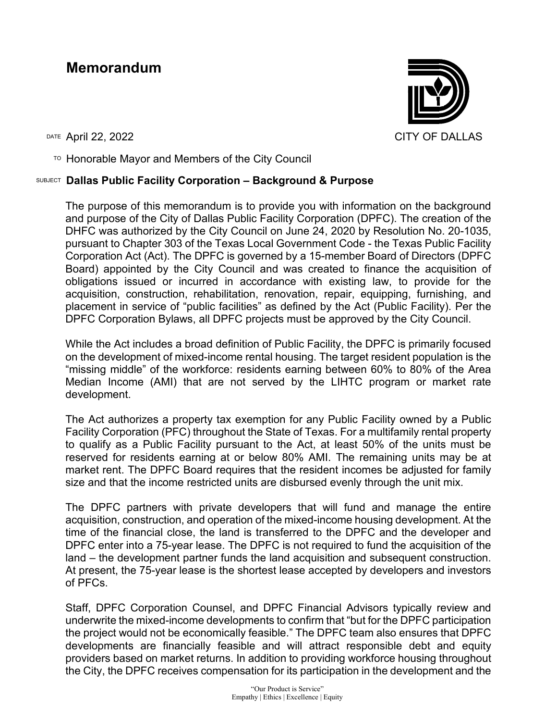## **Memorandum**



 $T$ <sup>O</sup> Honorable Mayor and Members of the City Council

## SUBJECT **Dallas Public Facility Corporation – Background & Purpose**

The purpose of this memorandum is to provide you with information on the background and purpose of the City of Dallas Public Facility Corporation (DPFC). The creation of the DHFC was authorized by the City Council on June 24, 2020 by Resolution No. 20-1035, pursuant to Chapter 303 of the Texas Local Government Code - the Texas Public Facility Corporation Act (Act). The DPFC is governed by a 15-member Board of Directors (DPFC Board) appointed by the City Council and was created to finance the acquisition of obligations issued or incurred in accordance with existing law, to provide for the acquisition, construction, rehabilitation, renovation, repair, equipping, furnishing, and placement in service of "public facilities" as defined by the Act (Public Facility). Per the DPFC Corporation Bylaws, all DPFC projects must be approved by the City Council.

While the Act includes a broad definition of Public Facility, the DPFC is primarily focused on the development of mixed-income rental housing. The target resident population is the "missing middle" of the workforce: residents earning between 60% to 80% of the Area Median Income (AMI) that are not served by the LIHTC program or market rate development.

The Act authorizes a property tax exemption for any Public Facility owned by a Public Facility Corporation (PFC) throughout the State of Texas. For a multifamily rental property to qualify as a Public Facility pursuant to the Act, at least 50% of the units must be reserved for residents earning at or below 80% AMI. The remaining units may be at market rent. The DPFC Board requires that the resident incomes be adjusted for family size and that the income restricted units are disbursed evenly through the unit mix.

The DPFC partners with private developers that will fund and manage the entire acquisition, construction, and operation of the mixed-income housing development. At the time of the financial close, the land is transferred to the DPFC and the developer and DPFC enter into a 75-year lease. The DPFC is not required to fund the acquisition of the land – the development partner funds the land acquisition and subsequent construction. At present, the 75-year lease is the shortest lease accepted by developers and investors of PFCs.

Staff, DPFC Corporation Counsel, and DPFC Financial Advisors typically review and underwrite the mixed-income developments to confirm that "but for the DPFC participation the project would not be economically feasible." The DPFC team also ensures that DPFC developments are financially feasible and will attract responsible debt and equity providers based on market returns. In addition to providing workforce housing throughout the City, the DPFC receives compensation for its participation in the development and the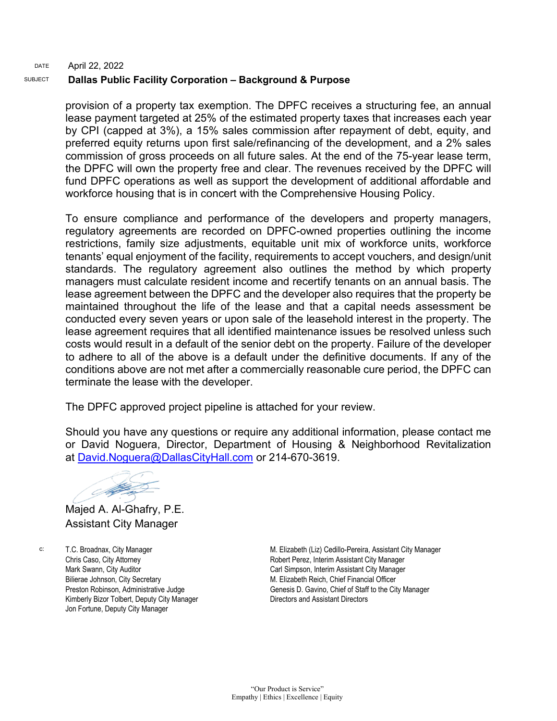## DATE SUBJECT April 22, 2022 **Dallas Public Facility Corporation – Background & Purpose**

provision of a property tax exemption. The DPFC receives a structuring fee, an annual lease payment targeted at 25% of the estimated property taxes that increases each year by CPI (capped at 3%), a 15% sales commission after repayment of debt, equity, and preferred equity returns upon first sale/refinancing of the development, and a 2% sales commission of gross proceeds on all future sales. At the end of the 75-year lease term, the DPFC will own the property free and clear. The revenues received by the DPFC will fund DPFC operations as well as support the development of additional affordable and workforce housing that is in concert with the Comprehensive Housing Policy.

To ensure compliance and performance of the developers and property managers, regulatory agreements are recorded on DPFC-owned properties outlining the income restrictions, family size adjustments, equitable unit mix of workforce units, workforce tenants' equal enjoyment of the facility, requirements to accept vouchers, and design/unit standards. The regulatory agreement also outlines the method by which property managers must calculate resident income and recertify tenants on an annual basis. The lease agreement between the DPFC and the developer also requires that the property be maintained throughout the life of the lease and that a capital needs assessment be conducted every seven years or upon sale of the leasehold interest in the property. The lease agreement requires that all identified maintenance issues be resolved unless such costs would result in a default of the senior debt on the property. Failure of the developer to adhere to all of the above is a default under the definitive documents. If any of the conditions above are not met after a commercially reasonable cure period, the DPFC can terminate the lease with the developer.

The DPFC approved project pipeline is attached for your review.

Should you have any questions or require any additional information, please contact me or David Noguera, Director, Department of Housing & Neighborhood Revitalization at [David.Noguera@DallasCityHall.com](mailto:David.Noguera@DallasCityHall.com) or 214-670-3619.

**Allen Strategy** 

Majed A. Al-Ghafry, P.E. Assistant City Manager

c: T.C. Broadnax, City Manager Chris Caso, City Attorney Mark Swann, City Auditor Bilierae Johnson, City Secretary Preston Robinson, Administrative Judge Kimberly Bizor Tolbert, Deputy City Manager Jon Fortune, Deputy City Manager

M. Elizabeth (Liz) Cedillo-Pereira, Assistant City Manager Robert Perez, Interim Assistant City Manager Carl Simpson, Interim Assistant City Manager M. Elizabeth Reich, Chief Financial Officer Genesis D. Gavino, Chief of Staff to the City Manager Directors and Assistant Directors